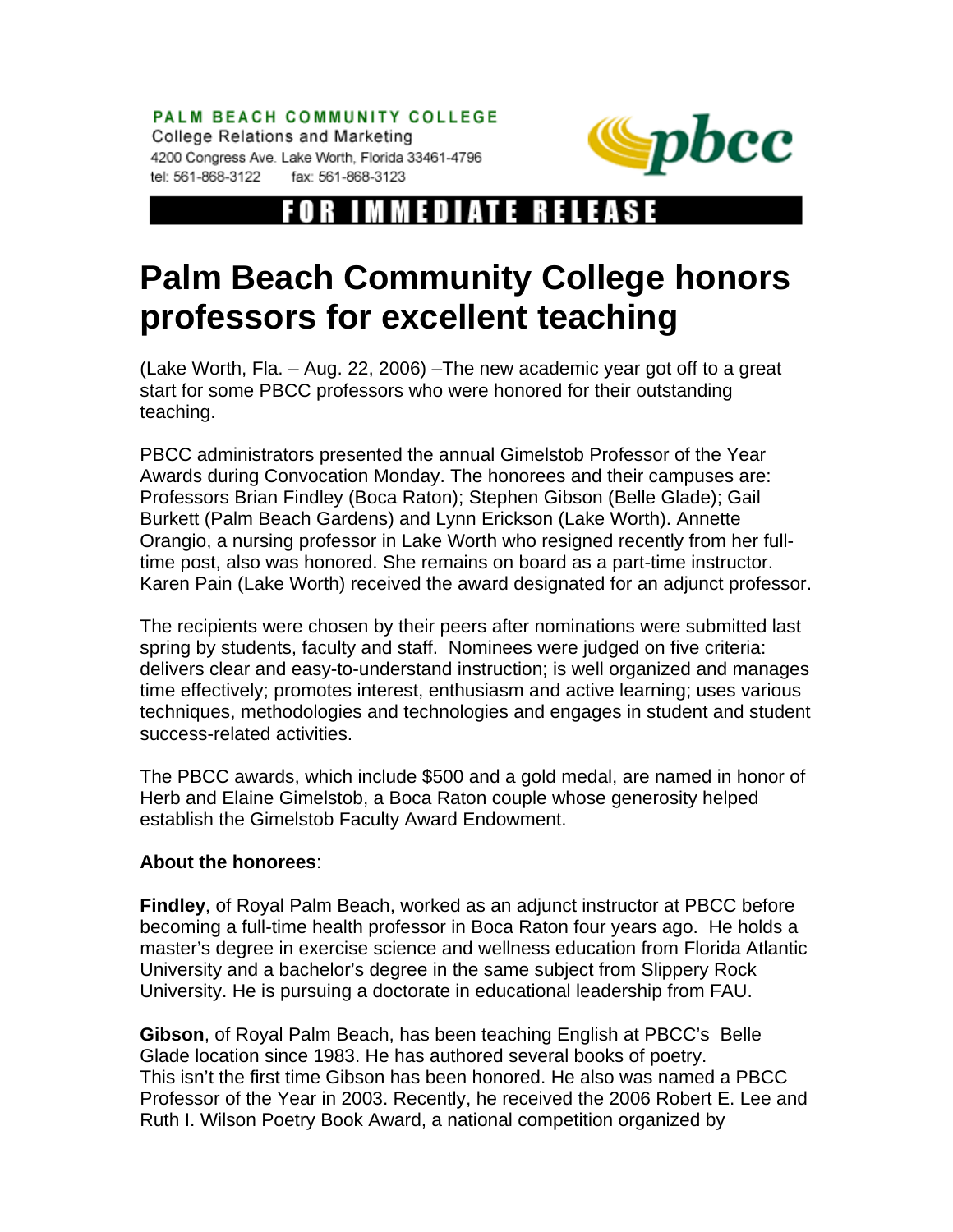PALM BEACH COMMUNITY COLLEGE College Relations and Marketing 4200 Congress Ave. Lake Worth, Florida 33461-4796 tel: 561-868-3122 fax: 561-868-3123



## FOR IMMEDIATE RELEAS

## **Palm Beach Community College honors professors for excellent teaching**

(Lake Worth, Fla. – Aug. 22, 2006) –The new academic year got off to a great start for some PBCC professors who were honored for their outstanding teaching.

PBCC administrators presented the annual Gimelstob Professor of the Year Awards during Convocation Monday. The honorees and their campuses are: Professors Brian Findley (Boca Raton); Stephen Gibson (Belle Glade); Gail Burkett (Palm Beach Gardens) and Lynn Erickson (Lake Worth). Annette Orangio, a nursing professor in Lake Worth who resigned recently from her fulltime post, also was honored. She remains on board as a part-time instructor. Karen Pain (Lake Worth) received the award designated for an adjunct professor.

The recipients were chosen by their peers after nominations were submitted last spring by students, faculty and staff. Nominees were judged on five criteria: delivers clear and easy-to-understand instruction; is well organized and manages time effectively; promotes interest, enthusiasm and active learning; uses various techniques, methodologies and technologies and engages in student and student success-related activities.

The PBCC awards, which include \$500 and a gold medal, are named in honor of Herb and Elaine Gimelstob, a Boca Raton couple whose generosity helped establish the Gimelstob Faculty Award Endowment.

## **About the honorees**:

**Findley**, of Royal Palm Beach, worked as an adjunct instructor at PBCC before becoming a full-time health professor in Boca Raton four years ago. He holds a master's degree in exercise science and wellness education from Florida Atlantic University and a bachelor's degree in the same subject from Slippery Rock University. He is pursuing a doctorate in educational leadership from FAU.

**Gibson**, of Royal Palm Beach, has been teaching English at PBCC's Belle Glade location since 1983. He has authored several books of poetry. This isn't the first time Gibson has been honored. He also was named a PBCC Professor of the Year in 2003. Recently, he received the 2006 Robert E. Lee and Ruth I. Wilson Poetry Book Award, a national competition organized by